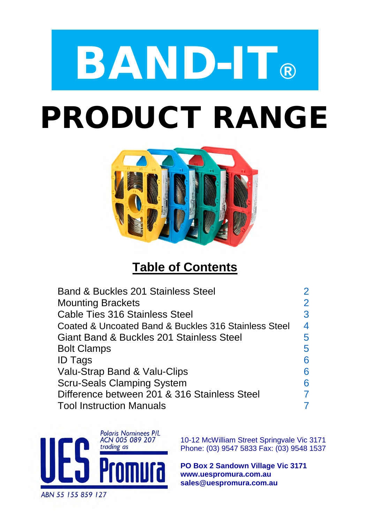# BAND-IT**®**

# PRODUCT RANGE



# **Table of Contents**

| <b>Band &amp; Buckles 201 Stainless Steel</b>        | $\mathbf 2$    |
|------------------------------------------------------|----------------|
| <b>Mounting Brackets</b>                             | $\overline{2}$ |
| <b>Cable Ties 316 Stainless Steel</b>                | 3              |
| Coated & Uncoated Band & Buckles 316 Stainless Steel | 4              |
| Giant Band & Buckles 201 Stainless Steel             | 5              |
| <b>Bolt Clamps</b>                                   | 5              |
| <b>ID Tags</b>                                       | 6              |
| Valu-Strap Band & Valu-Clips                         | 6              |
| <b>Scru-Seals Clamping System</b>                    | 6              |
| Difference between 201 & 316 Stainless Steel         |                |
| <b>Tool Instruction Manuals</b>                      |                |



10-12 McWilliam Street Springvale Vic 3171 Phone: (03) 9547 5833 Fax: (03) 9548 1537

**PO Box 2 Sandown Village Vic 3171 www.uespromura.com.au sales@uespromura.com.au**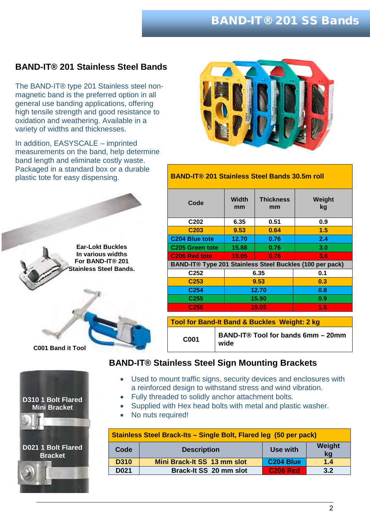#### <span id="page-1-0"></span>**BAND-IT® 201 Stainless Steel Bands**

The BAND-IT® type 201 Stainless steel nonmagnetic band is the preferred option in all general use banding applications, offering high tensile strength and good resistance to oxidation and weathering. Available in a variety of widths and thicknesses.

In addition, EASYSCALE – imprinted measurements on the band, help determine band length and eliminate costly waste. Packaged in a standard box or a durable plastic tote for easy dispensing.





| <b>BAND-IT® 201 Stainless Steel Bands 30.5m roll</b>      |             |                        |              |  |
|-----------------------------------------------------------|-------------|------------------------|--------------|--|
| Code                                                      | Width<br>mm | <b>Thickness</b><br>mm | Weight<br>kg |  |
| C <sub>202</sub>                                          | 6.35        | 0.51                   | 0.9          |  |
| C <sub>203</sub>                                          | 9.53        | 0.64                   | 1.5          |  |
| C <sub>204</sub> Blue tote                                | 12.70       | 0.76                   | 2.4          |  |
| C205 Green tote                                           | 15.88       | 0.76                   | 3.0          |  |
| C <sub>206</sub> Red tote                                 | 19.05       | 0.76                   | 3.6          |  |
| BAND-IT® Type 201 Stainless Steel Buckles (100 per pack)  |             |                        |              |  |
| C <sub>252</sub>                                          |             | 6.35                   | 0.1          |  |
| C <sub>253</sub>                                          |             | 9.53                   | 0.3          |  |
| C <sub>254</sub>                                          |             | 12.70                  | 0.8          |  |
| C <sub>255</sub>                                          |             | 15.90                  | 0.9          |  |
| C <sub>256</sub>                                          |             | 19.05                  | 1.5          |  |
| <b>Tool for Band-It Band &amp; Buckles Weight: 2 kg</b>   |             |                        |              |  |
| BAND-IT® Tool for bands 6mm - 20mm<br><b>C001</b><br>wide |             |                        |              |  |

**C001 Band it Tool**



#### <span id="page-1-1"></span>**BAND-IT® Stainless Steel Sign Mounting Brackets**

- Used to mount traffic signs, security devices and enclosures with a reinforced design to withstand stress and wind vibration.
- Fully threaded to solidly anchor attachment bolts.
- Supplied with Hex head bolts with metal and plastic washer.
- No nuts required!

| Stainless Steel Brack-Its - Single Bolt, Flared leg (50 per pack) |                             |                       |              |  |
|-------------------------------------------------------------------|-----------------------------|-----------------------|--------------|--|
| Code                                                              | <b>Description</b>          | Use with              | Weight<br>kg |  |
| <b>D310</b>                                                       | Mini Brack-It SS 13 mm slot | C <sub>204</sub> Blue | 1.4          |  |
| D <sub>021</sub>                                                  | Brack-It SS 20 mm slot      | <b>C206 Red</b>       | 3.2          |  |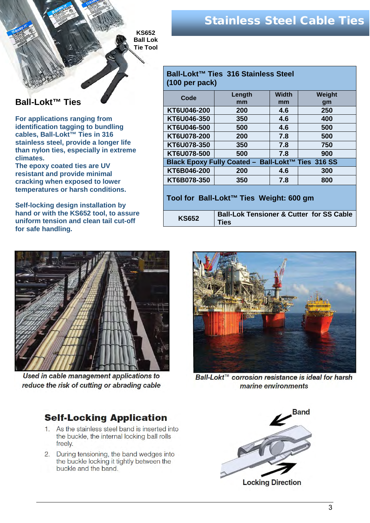## Stainless Steel Cable Ties

**KS652 Ball Lok Tie Tool**

#### <span id="page-2-0"></span>**[Ball-Lokt™ Ties](http://band-it-australia.com.au/wp-content/uploads/2015/03/KS652_SS_Ties_Tool_Instruction.pdf)**

 **climates. For applications ranging from identification tagging to bundling cables, Ball-Lokt™ Ties in 316 stainless steel, provide a longer life than nylon ties, especially in extreme** 

 **resistant and provide minimal The epoxy coated ties are UV cracking when exposed to lower temperatures or harsh conditions.**

 **uniform tension and clean tail cut-off Self-locking design installation by hand or with the KS652 tool, to assure for safe handling.**





Used in cable management applications to reduce the risk of cutting or abrading cable

#### **Self-Locking Application**

- 1. As the stainless steel band is inserted into the buckle, the internal locking ball rolls freely.
- 2. During tensioning, the band wedges into the buckle locking it tightly between the buckle and the band.



Ball-Lokt™ corrosion resistance is ideal for harsh marine environments

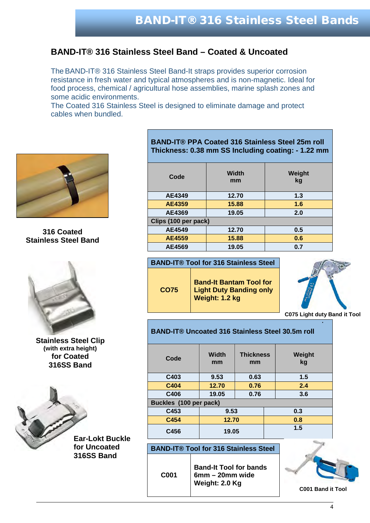#### <span id="page-3-0"></span> $\mathbf{S}$ **BAND-IT® 316 Stainless Steel Band – Coated & Uncoated**

The BAND-IT® 316 Stainless Steel Band-It straps provides superior corrosion resistance in fresh water and typical atmospheres and is non-magnetic. Ideal for food process, chemical / agricultural hose assemblies, marine splash zones and some acidic environments.

The Coated 316 Stainless Steel is designed to eliminate damage and protect cables when bundled.



**316 Coated Stainless Steel Band**



**Stainless Steel Clip (with extra height) for Coated 316SS Band**

> **Ear-Lokt Buckle for Uncoated 316SS Band**

#### **BAND-IT® PPA Coated 316 Stainless Steel 25m roll Thickness: 0.38 mm SS Including coating: - 1.22 mm**

| Code                 | Width<br>mm | Weight<br>kg |  |  |
|----------------------|-------------|--------------|--|--|
| AE4349               | 12.70       | 1.3          |  |  |
| <b>AE4359</b>        | 15.88       | 1.6          |  |  |
| AE4369               | 19.05       | 2.0          |  |  |
| Clips (100 per pack) |             |              |  |  |
| AE4549               | 12.70       | 0.5          |  |  |
| <b>AE4559</b>        | 15.88       | 0.6          |  |  |
| AE4569               | 19.05       | 0.7          |  |  |

| <b>BAND-IT® Tool for 316 Stainless Steel</b> |                                                                              |  |  |
|----------------------------------------------|------------------------------------------------------------------------------|--|--|
| CO75                                         | <b>Band-It Bantam Tool for<br/>Light Duty Banding only</b><br>Weight: 1.2 kg |  |  |



**[C075 Light duty Band it Tool](http://band-it-australia.com.au/wp-content/uploads/2015/03/C075.pdf) .** 

| <b>BAND-IT® Uncoated 316 Stainless Steel 30.5m roll</b> |                    |                        |     |              |  |
|---------------------------------------------------------|--------------------|------------------------|-----|--------------|--|
| Code                                                    | <b>Width</b><br>mm | <b>Thickness</b><br>mm |     | Weight<br>kg |  |
| C403                                                    | 9.53               | 0.63                   |     | 1.5          |  |
| C404                                                    | 12.70              | 0.76                   |     | 2.4          |  |
| C406                                                    | 19.05<br>0.76      |                        |     | 3.6          |  |
| Buckles (100 per pack)                                  |                    |                        |     |              |  |
| C453                                                    | 9.53               |                        | 0.3 |              |  |
| C454                                                    | 12.70<br>0.8       |                        |     |              |  |
| 1.5<br>C456<br>19.05                                    |                    |                        |     |              |  |

**BAND-IT® Tool for 316 Stainless Steel** 

**C001 Band-It Tool for bands 6mm – 20mm wide Weight: 2.0 Kg**

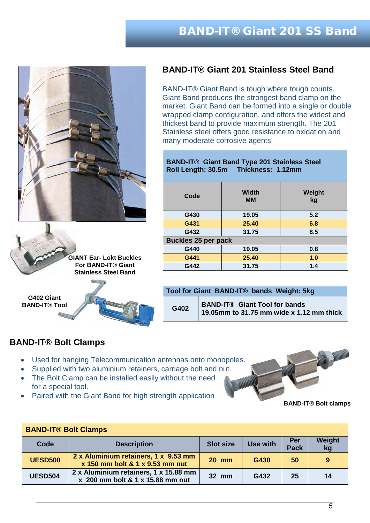## BAND-IT® Giant 201 SS Band



**GIANT Ear- Lokt Buckles For BAND-IT® Giant Stainless Steel Band**

**G402 Giant BAND-IT® [Tool](http://band-it-australia.com.au/wp-content/uploads/2015/03/G402.pdf)** 



#### <span id="page-4-0"></span>**BAND-IT® Giant 201 Stainless Steel Band**

BAND-IT® Giant Band is tough where tough counts. Giant Band produces the strongest band clamp on the market. Giant Band can be formed into a single or double wrapped clamp configuration, and offers the widest and thickest band to provide maximum strength. The 201 Stainless steel offers good resistance to oxidation and many moderate corrosive agents.

| <b>BAND-IT® Giant Band Type 201 Stainless Steel</b><br>Roll Length: 30.5m Thickness: 1.12mm |                           |              |  |  |
|---------------------------------------------------------------------------------------------|---------------------------|--------------|--|--|
| Code                                                                                        | <b>Width</b><br><b>MM</b> | Weight<br>kq |  |  |
| G430                                                                                        | 19.05                     | 5.2          |  |  |
| G431                                                                                        | 25.40                     | 6.8          |  |  |
| G432                                                                                        | 31.75                     | 8.5          |  |  |
| <b>Buckles 25 per pack</b>                                                                  |                           |              |  |  |
| G440                                                                                        | 19.05                     | 0.8          |  |  |
| G441                                                                                        | 25.40                     | 1.0          |  |  |
| G442                                                                                        | 31.75                     | 1.4          |  |  |

|      | Tool for Giant BAND-IT® bands Weight: 5kg                                        |
|------|----------------------------------------------------------------------------------|
| G402 | <b>BAND-IT® Giant Tool for bands</b><br>19.05mm to 31.75 mm wide x 1.12 mm thick |

#### <span id="page-4-1"></span>**BAND-IT® Bolt Clamps**

- Used for hanging Telecommunication antennas onto monopoles.
- Supplied with two aluminium retainers, carriage bolt and nut.
- The Bolt Clamp can be installed easily without the need for a special tool.
- Paired with the Giant Band for high strength application

**[BAND-IT® Bolt clamps](http://band-it-australia.com.au/wp-content/uploads/2017/11/B-421-BAND-IT-Bolt-Clamp1.pdf)**

| <b>BAND-IT® Bolt Clamps</b> |                                                                           |                  |          |                    |              |
|-----------------------------|---------------------------------------------------------------------------|------------------|----------|--------------------|--------------|
| Code                        | <b>Description</b>                                                        | <b>Slot size</b> | Use with | Per<br><b>Pack</b> | Weight<br>kg |
| <b>UESD500</b>              | 2 x Aluminium retainers, 1 x 9.53 mm<br>x 150 mm bolt & 1 x 9.53 mm nut   | <b>20 mm</b>     | G430     | 50                 | 9            |
| <b>UESD504</b>              | 2 x Aluminium retainers, 1 x 15.88 mm<br>x 200 mm bolt & 1 x 15.88 mm nut | 32 mm            | G432     | 25                 | 14           |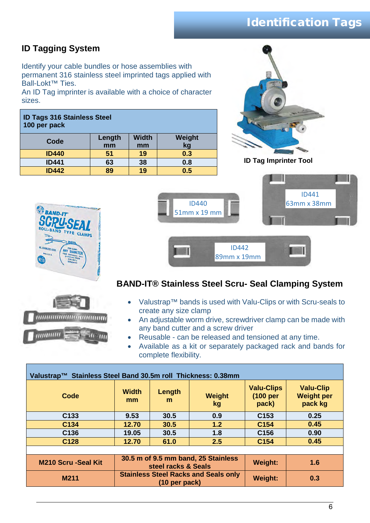# Identification Tags

# <span id="page-5-0"></span>**ID Tagging System**

Identify your cable bundles or hose assemblies with permanent 316 stainless steel imprinted tags applied with **Ball-Lokt<sup>™</sup> Ties.** 

An ID Tag imprinter is available with a choice of character sizes.

| <b>ID Tags 316 Stainless Steel</b><br>100 per pack |              |                    |              |  |
|----------------------------------------------------|--------------|--------------------|--------------|--|
| Code                                               | Length<br>mm | <b>Width</b><br>mm | Weight<br>kg |  |
| <b>ID440</b>                                       | 51           | 19                 | 0.3          |  |
| <b>ID441</b>                                       | 63           | 38                 | 0.8          |  |
| <b>ID442</b>                                       | 89           | 19                 | 0.5          |  |



**ID Tag Imprinter Tool**

ID441 63mm x 38mm



,,,,,,,,,,,,,,,,,,,,,,,,,,,,,,,,,,,,,

,,,,,,,,,,,,





# <span id="page-5-1"></span>**BAND-IT® Stainless Steel Scru- Seal Clamping System**

- Valustrap™ bands is used with Valu-Clips or with Scru-seals to create any size clamp
- An adjustable worm drive, screwdriver clamp can be made with any band cutter and a screw driver
- Reusable can be released and tensioned at any time.
- Available as a kit or separately packaged rack and bands for complete flexibility.

| Valustrap™ Stainless Steel Band 30.5m roll Thickness: 0.38mm |                                                                                       |             |                     |                                        |                                                  |
|--------------------------------------------------------------|---------------------------------------------------------------------------------------|-------------|---------------------|----------------------------------------|--------------------------------------------------|
| Code                                                         | <b>Width</b><br>mm                                                                    | Length<br>m | <b>Weight</b><br>kg | <b>Valu-Clips</b><br>(100 per<br>pack) | <b>Valu-Clip</b><br><b>Weight per</b><br>pack kg |
| C133                                                         | 9.53                                                                                  | 30.5        | 0.9                 | C <sub>153</sub>                       | 0.25                                             |
| C134                                                         | 12.70                                                                                 | 30.5        | 1.2                 | C154                                   | 0.45                                             |
| C136                                                         | 19.05                                                                                 | 30.5        | 1.8                 | C <sub>156</sub>                       | 0.90                                             |
| C128                                                         | 12.70                                                                                 | 61.0        | 2.5                 | C <sub>154</sub>                       | 0.45                                             |
|                                                              |                                                                                       |             |                     |                                        |                                                  |
| <b>M210 Scru-Seal Kit</b>                                    | 30.5 m of 9.5 mm band, 25 Stainless<br><b>Weight:</b><br>1.6<br>steel racks & Seals   |             |                     |                                        |                                                  |
| M211                                                         | <b>Stainless Steel Racks and Seals only</b><br><b>Weight:</b><br>0.3<br>(10 per pack) |             |                     |                                        |                                                  |